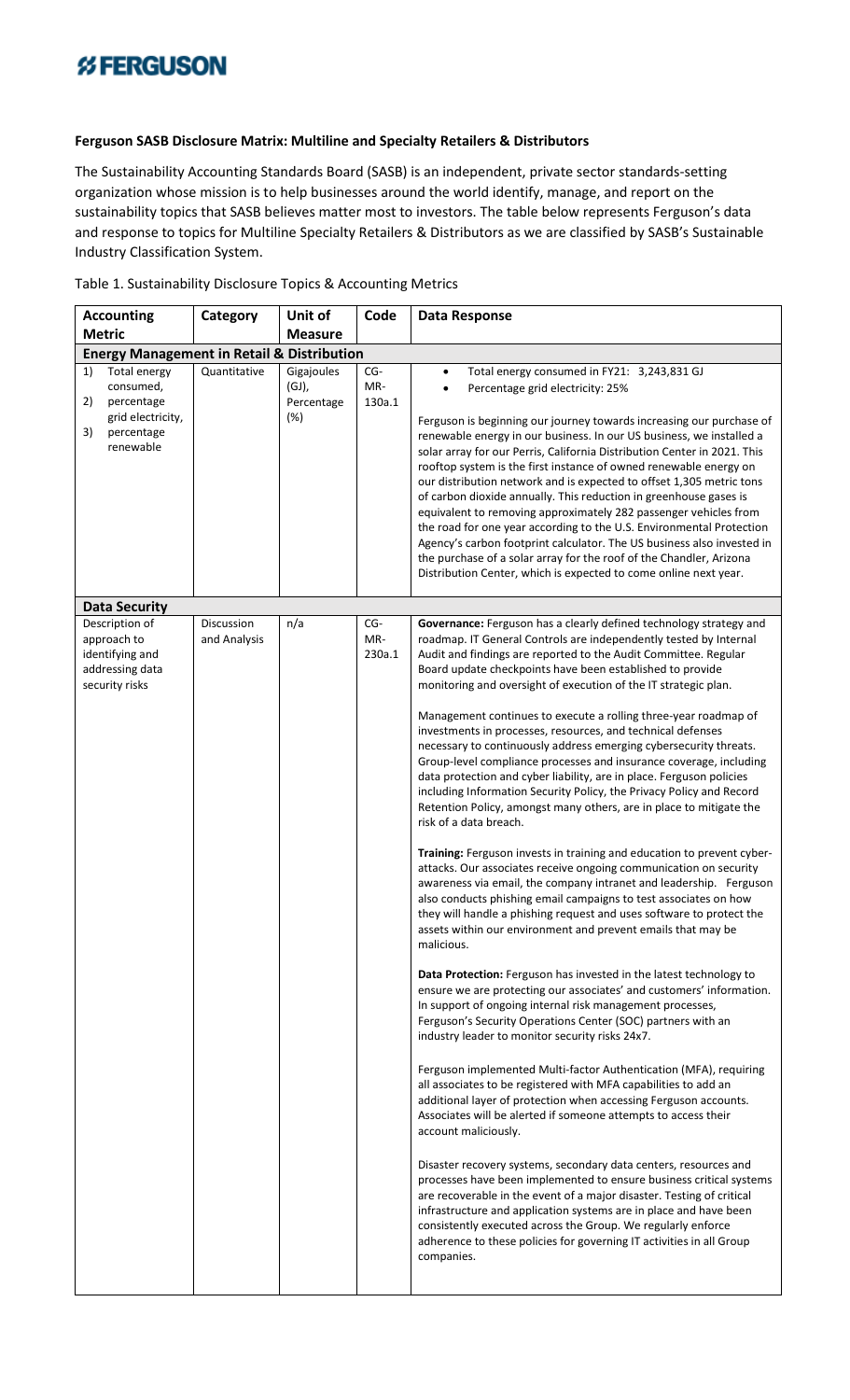## **%FERGUSON**

## **Ferguson SASB Disclosure Matrix: Multiline and Specialty Retailers & Distributors**

The Sustainability Accounting Standards Board (SASB) is an independent, private sector standards-setting organization whose mission is to help businesses around the world identify, manage, and report on the sustainability topics that SASB believes matter most to investors. The table below represents Ferguson's data and response to topics for Multiline Specialty Retailers & Distributors as we are classified by SASB's Sustainable Industry Classification System.

| <b>Accounting</b>                                                                                         | Category                   | Unit of                                  | Code                 | <b>Data Response</b>                                                                                                                                                                                                                                                                                                                                                                                                                                                                                                                                                                                                                                                                                                                                                                                                                                                                                                                                                                                                                                                                                                                                                                                                                                                                                                                                                                                                                                                                                                                                                                                                                                                                                                                                                                                                                                                                                                                                                                                                                                                                                                                                                                                                                                                                                                                                                                                       |  |  |
|-----------------------------------------------------------------------------------------------------------|----------------------------|------------------------------------------|----------------------|------------------------------------------------------------------------------------------------------------------------------------------------------------------------------------------------------------------------------------------------------------------------------------------------------------------------------------------------------------------------------------------------------------------------------------------------------------------------------------------------------------------------------------------------------------------------------------------------------------------------------------------------------------------------------------------------------------------------------------------------------------------------------------------------------------------------------------------------------------------------------------------------------------------------------------------------------------------------------------------------------------------------------------------------------------------------------------------------------------------------------------------------------------------------------------------------------------------------------------------------------------------------------------------------------------------------------------------------------------------------------------------------------------------------------------------------------------------------------------------------------------------------------------------------------------------------------------------------------------------------------------------------------------------------------------------------------------------------------------------------------------------------------------------------------------------------------------------------------------------------------------------------------------------------------------------------------------------------------------------------------------------------------------------------------------------------------------------------------------------------------------------------------------------------------------------------------------------------------------------------------------------------------------------------------------------------------------------------------------------------------------------------------------|--|--|
| <b>Metric</b>                                                                                             |                            | <b>Measure</b>                           |                      |                                                                                                                                                                                                                                                                                                                                                                                                                                                                                                                                                                                                                                                                                                                                                                                                                                                                                                                                                                                                                                                                                                                                                                                                                                                                                                                                                                                                                                                                                                                                                                                                                                                                                                                                                                                                                                                                                                                                                                                                                                                                                                                                                                                                                                                                                                                                                                                                            |  |  |
| <b>Energy Management in Retail &amp; Distribution</b>                                                     |                            |                                          |                      |                                                                                                                                                                                                                                                                                                                                                                                                                                                                                                                                                                                                                                                                                                                                                                                                                                                                                                                                                                                                                                                                                                                                                                                                                                                                                                                                                                                                                                                                                                                                                                                                                                                                                                                                                                                                                                                                                                                                                                                                                                                                                                                                                                                                                                                                                                                                                                                                            |  |  |
| 1)<br>Total energy<br>consumed,<br>2)<br>percentage<br>grid electricity,<br>3)<br>percentage<br>renewable | Quantitative               | Gigajoules<br>(GJ),<br>Percentage<br>(%) | CG-<br>MR-<br>130a.1 | Total energy consumed in FY21: 3,243,831 GJ<br>$\bullet$<br>Percentage grid electricity: 25%<br>$\bullet$<br>Ferguson is beginning our journey towards increasing our purchase of<br>renewable energy in our business. In our US business, we installed a<br>solar array for our Perris, California Distribution Center in 2021. This<br>rooftop system is the first instance of owned renewable energy on<br>our distribution network and is expected to offset 1,305 metric tons<br>of carbon dioxide annually. This reduction in greenhouse gases is<br>equivalent to removing approximately 282 passenger vehicles from<br>the road for one year according to the U.S. Environmental Protection<br>Agency's carbon footprint calculator. The US business also invested in<br>the purchase of a solar array for the roof of the Chandler, Arizona<br>Distribution Center, which is expected to come online next year.                                                                                                                                                                                                                                                                                                                                                                                                                                                                                                                                                                                                                                                                                                                                                                                                                                                                                                                                                                                                                                                                                                                                                                                                                                                                                                                                                                                                                                                                                   |  |  |
| <b>Data Security</b>                                                                                      |                            |                                          |                      |                                                                                                                                                                                                                                                                                                                                                                                                                                                                                                                                                                                                                                                                                                                                                                                                                                                                                                                                                                                                                                                                                                                                                                                                                                                                                                                                                                                                                                                                                                                                                                                                                                                                                                                                                                                                                                                                                                                                                                                                                                                                                                                                                                                                                                                                                                                                                                                                            |  |  |
| Description of<br>approach to<br>identifying and<br>addressing data<br>security risks                     | Discussion<br>and Analysis | n/a                                      | CG-<br>MR-<br>230a.1 | Governance: Ferguson has a clearly defined technology strategy and<br>roadmap. IT General Controls are independently tested by Internal<br>Audit and findings are reported to the Audit Committee. Regular<br>Board update checkpoints have been established to provide<br>monitoring and oversight of execution of the IT strategic plan.<br>Management continues to execute a rolling three-year roadmap of<br>investments in processes, resources, and technical defenses<br>necessary to continuously address emerging cybersecurity threats.<br>Group-level compliance processes and insurance coverage, including<br>data protection and cyber liability, are in place. Ferguson policies<br>including Information Security Policy, the Privacy Policy and Record<br>Retention Policy, amongst many others, are in place to mitigate the<br>risk of a data breach.<br>Training: Ferguson invests in training and education to prevent cyber-<br>attacks. Our associates receive ongoing communication on security<br>awareness via email, the company intranet and leadership. Ferguson<br>also conducts phishing email campaigns to test associates on how<br>they will handle a phishing request and uses software to protect the<br>assets within our environment and prevent emails that may be<br>malicious.<br>Data Protection: Ferguson has invested in the latest technology to<br>ensure we are protecting our associates' and customers' information.<br>In support of ongoing internal risk management processes,<br>Ferguson's Security Operations Center (SOC) partners with an<br>industry leader to monitor security risks 24x7.<br>Ferguson implemented Multi-factor Authentication (MFA), requiring<br>all associates to be registered with MFA capabilities to add an<br>additional layer of protection when accessing Ferguson accounts.<br>Associates will be alerted if someone attempts to access their<br>account maliciously.<br>Disaster recovery systems, secondary data centers, resources and<br>processes have been implemented to ensure business critical systems<br>are recoverable in the event of a major disaster. Testing of critical<br>infrastructure and application systems are in place and have been<br>consistently executed across the Group. We regularly enforce<br>adherence to these policies for governing IT activities in all Group<br>companies. |  |  |

Table 1. Sustainability Disclosure Topics & Accounting Metrics